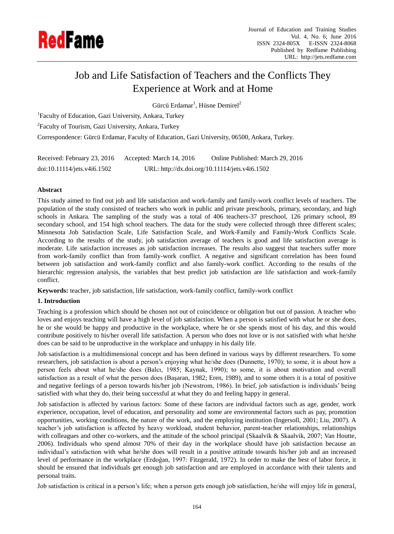

# Job and Life Satisfaction of Teachers and the Conflicts They Experience at Work and at Home

 $G$ ürc ü $E$ rdamar<sup>1</sup>, Hüsne Demirel<sup>2</sup>

<sup>1</sup>Faculty of Education, Gazi University, Ankara, Turkey

<sup>2</sup> Faculty of Tourism, Gazi University, Ankara, Turkey

Correspondence: Gürcü Erdamar, Faculty of Education, Gazi University, 06500, Ankara, Turkey.

| Received: February 23, 2016 | Accepted: March 14, 2016 | Online Published: March 29, 2016               |
|-----------------------------|--------------------------|------------------------------------------------|
| doi:10.11114/jets.v4i6.1502 |                          | URL: http://dx.doi.org/10.11114/jets.v4i6.1502 |

# **Abstract**

This study aimed to find out job and life satisfaction and work-family and family-work conflict levels of teachers. The population of the study consisted of teachers who work in public and private preschools, primary, secondary, and high schools in Ankara. The sampling of the study was a total of 406 teachers-37 preschool, 126 primary school, 89 secondary school, and 154 high school teachers. The data for the study were collected through three different scales; Minnesota Job Satisfaction Scale, Life Satisfaction Scale, and Work-Family and Family-Work Conflicts Scale. According to the results of the study, job satisfaction average of teachers is good and life satisfaction average is moderate. Life satisfaction increases as job satisfaction increases. The results also suggest that teachers suffer more from work-family conflict than from family-work conflict. A negative and significant correlation has been found between job satisfaction and work-family conflict and also family-work conflict. According to the results of the hierarchic regression analysis, the variables that best predict job satisfaction are life satisfaction and work-family conflict.

**Keywords:** teacher, job satisfaction, life satisfaction, work-family conflict, family-work conflict

# **1. Introduction**

Teaching is a profession which should be chosen not out of coincidence or obligation but out of passion. A teacher who loves and enjoys teaching will have a high level of job satisfaction. When a person is satisfied with what he or she does, he or she would be happy and productive in the workplace, where he or she spends most of his day, and this would contribute positively to his/her overall life satisfaction. A person who does not love or is not satisfied with what he/she does can be said to be unproductive in the workplace and unhappy in his daily life.

Job satisfaction is a multidimensional concept and has been defined in various ways by different researchers. To some researchers, job satisfaction is about a person's enjoying what he/she does (Dunnette, 1970); to some, it is about how a person feels about what he/she does (Balcı, 1985; Kaynak, 1990); to some, it is about motivation and overall satisfaction as a result of what the person does (Başaran, 1982; Eren, 1989), and to some others it is a total of positive and negative feelings of a person towards his/her job (Newstrom, 1986). In brief, job satisfaction is individuals' being satisfied with what they do, their being successful at what they do and feeling happy in general.

Job satisfaction is affected by various factors: Some of these factors are individual factors such as age, gender, work experience, occupation, level of education, and personality and some are environmental factors such as pay, promotion opportunities, working conditions, the nature of the work, and the employing institution (Ingersoll, 2001; Liu, 2007). A teacher's job satisfaction is affected by heavy workload, student behavior, parent-teacher relationships, relationships with colleagues and other co-workers, and the attitude of the school principal (Skaalvik & Skaalvik, 2007; Van Houtte, 2006). Individuals who spend almost 70% of their day in the workplace should have job satisfaction because an individual's satisfaction with what he/she does will result in a positive attitude towards his/her job and an increased level of performance in the workplace (Erdoğan, 1997: Fitzgerald, 1972). In order to make the best of labor force, it should be ensured that individuals get enough job satisfaction and are employed in accordance with their talents and personal traits.

Job satisfaction is critical in a person's life; when a person gets enough job satisfaction, he/she will enjoy life in general,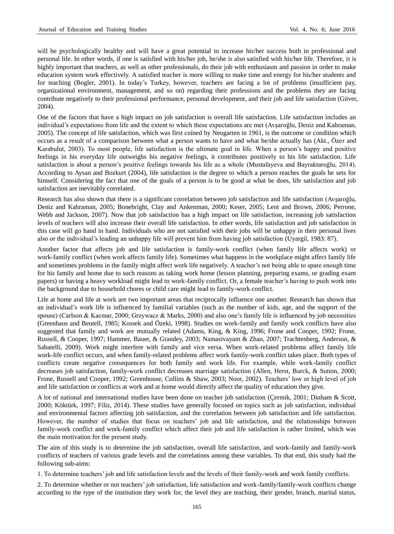will be psychologically healthy and will have a great potential to increase his/her success both in professional and personal life. In other words, if one is satisfied with his/her job, he/she is also satisfied with his/her life. Therefore, it is highly important that teachers, as well as other professionals, do their job with enthusiasm and passion in order to make education system work effectively. A satisfied teacher is more willing to make time and energy for his/her students and for teaching (Bogler, 2001). In today's Turkey, however, teachers are facing a lot of problems (insufficient pay, organizational environment, management, and so on) regarding their professions and the problems they are facing contribute negatively to their professional performance, personal development, and their job and life satisfaction (Güver, 2004).

One of the factors that have a high impact on job satisfaction is overall life satisfaction. Life satisfaction includes an individual's expectations from life and the extent to which these expectations are met (Avşaroğlu, Deniz and Kahraman, 2005). The concept of life satisfaction, which was first coined by Neugarten in 1961, is the outcome or condition which occurs as a result of a comparison between what a person wants to have and what he/she actually has (Akt., Özer and Karabulut, 2003). To most people, life satisfaction is the ultimate goal in life. When a person's happy and positive feelings in his everyday life outweighs his negative feelings, it contributes positively to his life satisfaction. Life satisfaction is about a person's positive feelings towards his life as a whole (Mustafayeva and Bayraktaroğlu, 2014). According to Aysan and Bozkurt (2004), life satisfaction is the degree to which a person reaches the goals he sets for himself. Considering the fact that one of the goals of a person is to be good at what he does, life satisfaction and job satisfaction are inevitably correlated.

Research has also shown that there is a significant correlation between job satisfaction and life satisfaction (Avşaroğlu, Deniz and Kahraman, 2005; Bonebright, Clay and Ankenman, 2000; Keser, 2005; Lent and Brown, 2006; Perrone, Webb and Jackson, 2007). Now that job satisfaction has a high impact on life satisfaction, increasing job satisfaction levels of teachers will also increase their overall life satisfaction. In other words, life satisfaction and job satisfaction in this case will go hand in hand. Individuals who are not satisfied with their jobs will be unhappy in their personal lives also or the individual's leading an unhappy life will prevent him from having job satisfaction (Uyargil, 1983: 87).

Another factor that affects job and life satisfaction is family-work conflict (when family life affects work) or work-family conflict (when work affects family life). Sometimes what happens in the workplace might affect family life and sometimes problems in the family might affect work life negatively. A teacher's not being able to spare enough time for his family and home due to such reasons as taking work home (lesson planning, preparing exams, or grading exam papers) or having a heavy workload might lead to work-family conflict. Or, a female teacher's having to push work into the background due to household chores or child care might lead to family-work conflict.

Life at home and life at work are two important areas that reciprocally influence one another. Research has shown that an individual's work life is influenced by familial variables (such as the number of kids, age, and the support of the spouse) (Carlson & Kacmar, 2000; Grzywacz & Marks, 2000) and also one's family life is influenced by job necessities (Greenhaus and Beutell, 1985; Kossek and Özeki, 1998). Studies on work-family and family work conflicts have also suggested that family and work are mutually related (Adams, King, & King, 1996; Frone and Cooper, 1992; Frone, Russell, & Cooper, 1997; Hammer, Bauer, & Grandey, 2003; Namasivayam & Zhao, 2007; Trachtenberg, Anderson, & Sabatelli, 2009). Work might interfere with family and vice versa. When work-related problems affect family life work-life conflict occurs, and when family-related problems affect work family-work conflict takes place. Both types of conflicts create negative consequences for both family and work life. For example, while work-family conflict decreases job satisfaction, family-work conflict decreases marriage satisfaction (Allen, Herst, Burck, & Sutton, 2000; Frone, Russell and Cooper, 1992; Greenhouse, Collins & Shaw, 2003; Noor, 2002). Teachers' low or high level of job and life satisfaction or conflicts at work and at home would directly affect the quality of education they give.

A lot of national and international studies have been done on teacher job satisfaction (Çermik, 2001; Dinham & Scott, 2000; Köktürk, 1997; Filiz, 2014). These studies have generally focused on topics such as job satisfaction, individual and environmental factors affecting job satisfaction, and the correlation between job satisfaction and life satisfaction. However, the number of studies that focus on teachers' job and life satisfaction, and the relationships between family-work conflict and work-family conflict which affect their job and life satisfaction is rather limited, which was the main motivation for the present study.

The aim of this study is to determine the job satisfaction, overall life satisfaction, and work-family and family-work conflicts of teachers of various grade levels and the correlations among these variables. To that end, this study had the following sub-aims:

1. To determine teachers' job and life satisfaction levels and the levels of their family-work and work family conflicts.

2. To determine whether or not teachers' job satisfaction, life satisfaction and work-family/family-work conflicts change according to the type of the institution they work for, the level they are teaching, their gender, branch, marital status,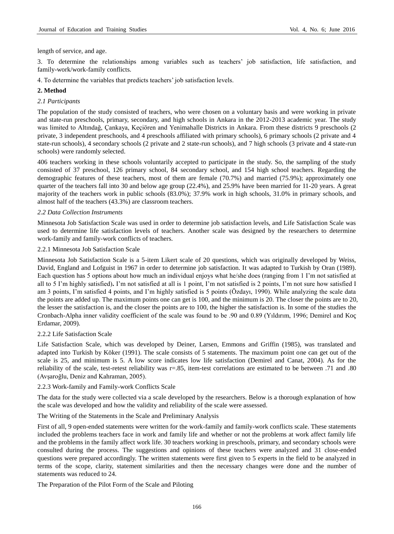length of service, and age.

3. To determine the relationships among variables such as teachers' job satisfaction, life satisfaction, and family-work/work-family conflicts.

4. To determine the variables that predicts teachers' job satisfaction levels.

# **2. Method**

## *2.1 Participants*

The population of the study consisted of teachers, who were chosen on a voluntary basis and were working in private and state-run preschools, primary, secondary, and high schools in Ankara in the 2012-2013 academic year. The study was limited to Altındağ, Çankaya, Keçiören and Yenimahalle Districts in Ankara. From these districts 9 preschools (2 private, 3 independent preschools, and 4 preschools affiliated with primary schools), 6 primary schools (2 private and 4 state-run schools), 4 secondary schools (2 private and 2 state-run schools), and 7 high schools (3 private and 4 state-run schools) were randomly selected.

406 teachers working in these schools voluntarily accepted to participate in the study. So, the sampling of the study consisted of 37 preschool, 126 primary school, 84 secondary school, and 154 high school teachers. Regarding the demographic features of these teachers, most of them are female (70.7%) and married (75.9%); approximately one quarter of the teachers fall into 30 and below age group (22.4%), and 25.9% have been married for 11-20 years. A great majority of the teachers work in public schools (83.0%); 37.9% work in high schools, 31.0% in primary schools, and almost half of the teachers (43.3%) are classroom teachers.

## *2.2 Data Collection Instruments*

Minnesota Job Satisfaction Scale was used in order to determine job satisfaction levels, and Life Satisfaction Scale was used to determine life satisfaction levels of teachers. Another scale was designed by the researchers to determine work-family and family-work conflicts of teachers.

#### 2.2.1 Minnesota Job Satisfaction Scale

Minnesota Job Satisfaction Scale is a 5-item Likert scale of 20 questions, which was originally developed by Weiss, David, England and Lofguist in 1967 in order to determine job satisfaction. It was adapted to Turkish by Oran (1989). Each question has 5 options about how much an individual enjoys what he/she does (ranging from 1 I'm not satisfied at all to 5 I'm highly satisfied)**.** I'm not satisfied at all is 1 point, I'm not satisfied is 2 points, I'm not sure how satisfied I am 3 points, I'm satisfied 4 points, and I'm highly satisfied is 5 points (Özdayı, 1990). While analyzing the scale data the points are added up. The maximum points one can get is 100, and the minimum is 20. The closer the points are to 20, the lesser the satisfaction is, and the closer the points are to 100, the higher the satisfaction is. In some of the studies the Cronbach-Alpha inner validity coefficient of the scale was found to be .90 and 0.89 (Yıldırım, 1996; Demirel and Koç Erdamar, 2009).

#### 2.2.2 Life Satisfaction Scale

Life Satisfaction Scale, which was developed by Deiner, Larsen, Emmons and Griffin (1985), was translated and adapted into Turkish by Köker (1991). The scale consists of 5 statements. The maximum point one can get out of the scale is 25, and minimum is 5. A low score indicates low life satisfaction (Demirel and Canat, 2004). As for the reliability of the scale, test-retest reliability was r=.85, item-test correlations are estimated to be between .71 and .80 (Avşaroğlu, Deniz and Kahraman, 2005).

2.2.3 Work-family and Family-work Conflicts Scale

The data for the study were collected via a scale developed by the researchers. Below is a thorough explanation of how the scale was developed and how the validity and reliability of the scale were assessed.

The Writing of the Statements in the Scale and Preliminary Analysis

First of all, 9 open-ended statements were written for the work-family and family-work conflicts scale. These statements included the problems teachers face in work and family life and whether or not the problems at work affect family life and the problems in the family affect work life. 30 teachers working in preschools, primary, and secondary schools were consulted during the process. The suggestions and opinions of these teachers were analyzed and 31 close-ended questions were prepared accordingly. The written statements were first given to 5 experts in the field to be analyzed in terms of the scope, clarity, statement similarities and then the necessary changes were done and the number of statements was reduced to 24.

The Preparation of the Pilot Form of the Scale and Piloting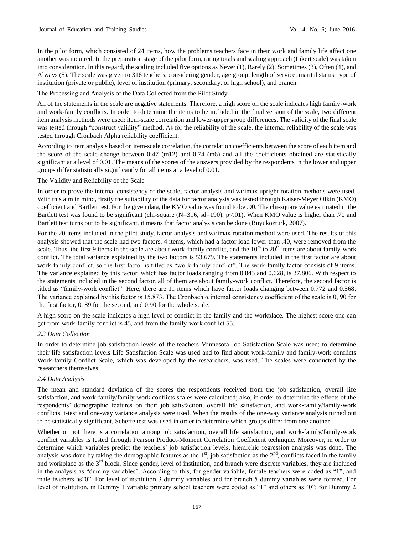In the pilot form, which consisted of 24 items, how the problems teachers face in their work and family life affect one another was inquired. In the preparation stage of the pilot form, rating totals and scaling approach (Likert scale) was taken into consideration. In this regard, the scaling included five options as Never (1), Rarely (2), Sometimes (3), Often (4), and Always (5). The scale was given to 316 teachers, considering gender, age group, length of service, marital status, type of institution (private or public), level of institution (primary, secondary, or high school), and branch.

The Processing and Analysis of the Data Collected from the Pilot Study

All of the statements in the scale are negative statements. Therefore, a high score on the scale indicates high family-work and work-family conflicts. In order to determine the items to be included in the final version of the scale, two different item analysis methods were used: item-scale correlation and lower-upper group differences. The validity of the final scale was tested through "construct validity" method. As for the reliability of the scale, the internal reliability of the scale was tested through Cronbach Alpha reliability coefficient.

According to item analysis based on item-scale correlation, the correlation coefficients between the score of each item and the score of the scale change between  $0.47 \text{ (m12)}$  and  $0.74 \text{ (m6)}$  and all the coefficients obtained are statistically significant at a level of 0.01. The means of the scores of the answers provided by the respondents in the lower and upper groups differ statistically significantly for all items at a level of 0.01.

## The Validity and Reliability of the Scale

In order to prove the internal consistency of the scale, factor analysis and varimax upright rotation methods were used. With this aim in mind, firstly the suitability of the data for factor analysis was tested through Kaiser-Meyer Olkin (KMO) coefficient and Bartlett test. For the given data, the KMO value was found to be .90. The chi-square value estimated in the Bartlett test was found to be significant (chi-square  $(N=316, sd=190)$ . p<.01). When KMO value is higher than .70 and Bartlett test turns out to be significant, it means that factor analysis can be done (Büyüköztürk, 2007).

For the 20 items included in the pilot study, factor analysis and varimax rotation method were used. The results of this analysis showed that the scale had two factors. 4 items, which had a factor load lower than .40, were removed from the scale. Thus, the first 9 items in the scale are about work-family conflict, and the  $10<sup>th</sup>$  to  $20<sup>th</sup>$  items are about family-work conflict. The total variance explained by the two factors is 53.679. The statements included in the first factor are about work-family conflict, so the first factor is titled as "work-family conflict". The work-family factor consists of 9 items. The variance explained by this factor, which has factor loads ranging from 0.843 and 0.628, is 37.806. With respect to the statements included in the second factor, all of them are about family-work conflict. Therefore, the second factor is titled as "family-work conflict". Here, there are 11 items which have factor loads changing between 0.772 and 0.568. The variance explained by this factor is 15.873. The Cronbach  $\alpha$  internal consistency coefficient of the scale is 0, 90 for the first factor, 0, 89 for the second, and 0.90 for the whole scale.

A high score on the scale indicates a high level of conflict in the family and the workplace. The highest score one can get from work-family conflict is 45, and from the family-work conflict 55.

#### *2.3 Data Collection*

In order to determine job satisfaction levels of the teachers Minnesota Job Satisfaction Scale was used; to determine their life satisfaction levels Life Satisfaction Scale was used and to find about work-family and family-work conflicts Work-family Conflict Scale, which was developed by the researchers, was used. The scales were conducted by the researchers themselves.

# *2.4 Data Analysis*

The mean and standard deviation of the scores the respondents received from the job satisfaction, overall life satisfaction, and work-family/family-work conflicts scales were calculated; also, in order to determine the effects of the respondents' demographic features on their job satisfaction, overall life satisfaction, and work-family/family-work conflicts, t-test and one-way variance analysis were used. When the results of the one-way variance analysis turned out to be statistically significant, Scheffe test was used in order to determine which groups differ from one another.

Whether or not there is a correlation among job satisfaction, overall life satisfaction, and work-family/family-work conflict variables is tested through Pearson Product-Moment Correlation Coefficient technique. Moreover, in order to determine which variables predict the teachers' job satisfaction levels, hierarchic regression analysis was done. The analysis was done by taking the demographic features as the  $1<sup>st</sup>$ , job satisfaction as the  $2<sup>nd</sup>$ , conflicts faced in the family and workplace as the 3<sup>rd</sup> block. Since gender, level of institution, and branch were discrete variables, they are included in the analysis as "dummy variables". According to this, for gender variable, female teachers were coded as "1", and male teachers as"0". For level of institution 3 dummy variables and for branch 5 dummy variables were formed. For level of institution, in Dummy 1 variable primary school teachers were coded as "1" and others as "0"; for Dummy 2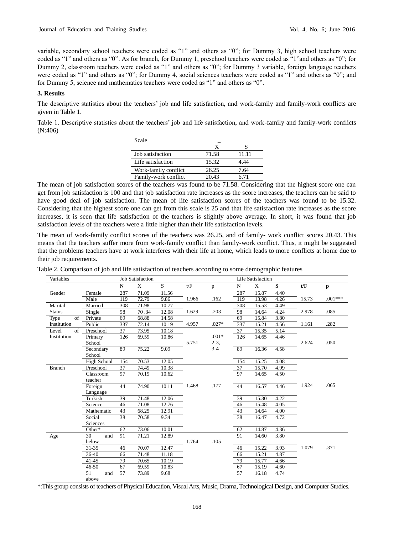variable, secondary school teachers were coded as "1" and others as "0"; for Dummy 3, high school teachers were coded as "1" and others as "0". As for branch, for Dummy 1, preschool teachers were coded as "1"and others as "0"; for Dummy 2, classroom teachers were coded as "1" and others as "0"; for Dummy 3 variable, foreign language teachers were coded as "1" and others as "0"; for Dummy 4, social sciences teachers were coded as "1" and others as "0"; and for Dummy 5, science and mathematics teachers were coded as "1" and others as "0".

# **3. Results**

The descriptive statistics about the teachers' job and life satisfaction, and work-family and family-work conflicts are given in Table 1.

Table 1. Descriptive statistics about the teachers' job and life satisfaction, and work-family and family-work conflicts (N:406)

| Scale                |       |       |
|----------------------|-------|-------|
|                      | X     |       |
| Job satisfaction     | 71.58 | 11.11 |
| Life satisfaction    | 15.32 | 4.44  |
| Work-family conflict | 26.25 | 7.64  |
| Family-work conflict | 20.43 | 6 71  |

The mean of job satisfaction scores of the teachers was found to be 71.58. Considering that the highest score one can get from job satisfaction is 100 and that job satisfaction rate increases as the score increases, the teachers can be said to have good deal of job satisfaction. The mean of life satisfaction scores of the teachers was found to be 15.32. Considering that the highest score one can get from this scale is 25 and that life satisfaction rate increases as the score increases, it is seen that life satisfaction of the teachers is slightly above average. In short, it was found that job satisfaction levels of the teachers were a little higher than their life satisfaction levels.

The mean of work-family conflict scores of the teachers was 26.25, and of family- work conflict scores 20.43. This means that the teachers suffer more from work-family conflict than family-work conflict. Thus, it might be suggested that the problems teachers have at work interferes with their life at home, which leads to more conflicts at home due to their job requirements.

Table 2. Comparison of job and life satisfaction of teachers according to some demographic features

| Variables     |             | <b>Job Satisfaction</b> |       |       |       |              |     | Life Satisfaction |      |       |           |  |
|---------------|-------------|-------------------------|-------|-------|-------|--------------|-----|-------------------|------|-------|-----------|--|
|               |             | $\mathbf N$             | X     | S.    | t/F   | $\mathbf{p}$ | N   | X                 | S    | t/F   | p         |  |
| Gender        | Female      | 287                     | 71.09 | 11.56 |       |              | 287 | 15.87             | 4.40 |       |           |  |
|               | Male        | 119                     | 72.79 | 9.86  | 1.966 | .162         | 119 | 13.98             | 4.26 | 15.73 | $.001***$ |  |
| Marital       | Married     | 308                     | 71.98 | 10.77 |       |              | 308 | 15.53             | 4.49 |       |           |  |
| <b>Status</b> | Single      | 98                      | 70.34 | 12.08 | 1.629 | .203         | 98  | 14.64             | 4.24 | 2.978 | .085      |  |
| of<br>Type    | Private     | 69                      | 68.88 | 14.58 |       |              | 69  | 15.84             | 3.80 |       |           |  |
| Institution   | Public      | 337                     | 72.14 | 10.19 | 4.957 | $.027*$      | 337 | 15.21             | 4.56 | 1.161 | .282      |  |
| of<br>Level   | Preschool   | 37                      | 73.95 | 10.18 |       |              | 37  | 15.35             | 5.14 |       |           |  |
| Institution   | Primary     | 126                     | 69.59 | 10.86 |       | $.001*$      | 126 | 14.65             | 4.46 |       |           |  |
|               | School      |                         |       |       | 5.751 | $2-3$ ,      |     |                   |      | 2.624 | .050      |  |
|               | Secondary   | 89                      | 75.22 | 9.09  |       | $3 - 4$      | 89  | 16.36             | 4.58 |       |           |  |
|               | School      |                         |       |       |       |              |     |                   |      |       |           |  |
|               | High School | 154                     | 70.53 | 12.05 |       |              | 154 | 15.25             | 4.08 |       |           |  |
| <b>Branch</b> | Preschool   | 37                      | 74.49 | 10.38 |       |              | 37  | 15.70             | 4.99 |       |           |  |
|               | Classroom   | 97                      | 70.19 | 10.62 |       |              | 97  | 14.65             | 4.50 |       |           |  |
|               | teacher     |                         |       |       |       |              |     |                   |      |       |           |  |
|               | Foreign     | 44                      | 74.90 | 10.11 | 1.468 | .177         | 44  | 16.57             | 4.46 | 1.924 | .065      |  |
|               | Language    |                         |       |       |       |              |     |                   |      |       |           |  |
|               | Turkish     | 39                      | 71.48 | 12.06 |       |              | 39  | 15.30             | 4.22 |       |           |  |
|               | Science     | 46                      | 71.08 | 12.76 |       |              | 46  | 15.48             | 4.05 |       |           |  |
|               | Mathematic  | 43                      | 68.25 | 12.91 |       |              | 43  | 14.64             | 4.00 |       |           |  |
|               | Social      | 38                      | 70.58 | 9.34  |       |              | 38  | 16.47             | 4.72 |       |           |  |
|               | Sciences    |                         |       |       |       |              |     |                   |      |       |           |  |
|               | Other*      | 62                      | 73.06 | 10.01 |       |              | 62  | 14.87             | 4.36 |       |           |  |
| Age           | 30<br>and   | 91                      | 71.21 | 12.89 |       |              | 91  | 14.60             | 3.80 |       |           |  |
|               | below       |                         |       |       | 1.764 | .105         |     |                   |      |       |           |  |
|               | $31 - 35$   | 46                      | 70.07 | 12.47 |       |              | 46  | 15.22             | 3.93 | 1.079 | .371      |  |
|               | 36-40       | 66                      | 71.48 | 11.18 |       |              | 66  | 15.21             | 4.87 |       |           |  |
|               | $41 - 45$   | 79                      | 70.65 | 10.19 |       |              | 79  | 15.77             | 4.66 |       |           |  |
|               | 46-50       | 67                      | 69.59 | 10.83 |       |              | 67  | 15.19             | 4.60 |       |           |  |
|               | 51<br>and   | 57                      | 73.89 | 9.68  |       |              | 57  | 16.18             | 4.74 |       |           |  |
|               | above       |                         |       |       |       |              |     |                   |      |       |           |  |

\*:This group consists of teachers of Physical Education, Visual Arts, Music, Drama, Technological Design, and Computer Studies.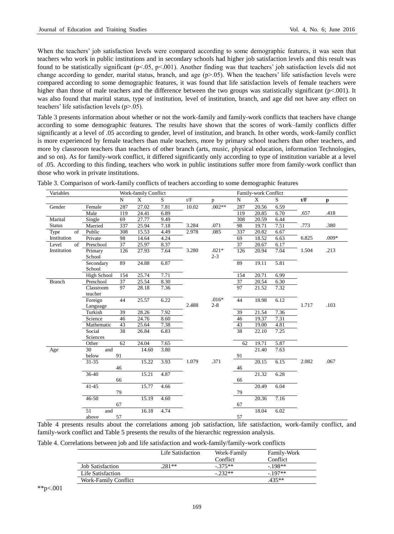When the teachers' job satisfaction levels were compared according to some demographic features, it was seen that teachers who work in public institutions and in secondary schools had higher job satisfaction levels and this result was found to be statistically significant (p<.05, p<.001). Another finding was that teachers' job satisfaction levels did not change according to gender, marital status, branch, and age  $(p>0.05)$ . When the teachers' life satisfaction levels were compared according to some demographic features, it was found that life satisfaction levels of female teachers were higher than those of male teachers and the difference between the two groups was statistically significant (p<.001). It was also found that marital status, type of institution, level of institution, branch, and age did not have any effect on teachers' life satisfaction levels (p>.05).

Table 3 presents information about whether or not the work-family and family-work conflicts that teachers have change according to some demographic features. The results have shown that the scores of work–family conflicts differ significantly at a level of .05 according to gender, level of institution, and branch. In other words, work-family conflict is more experienced by female teachers than male teachers, more by primary school teachers than other teachers, and more by classroom teachers than teachers of other branch (arts, music, physical education, information Technologies, and so on). As for family-work conflict, it differed significantly only according to type of institution variable at a level of .05. According to this finding, teachers who work in public institutions suffer more from family-work conflict than those who work in private institutions.

| Variables     |                      |     | Work-family Conflict |      |       |                    |          | Family-work Conflict |      |       |         |
|---------------|----------------------|-----|----------------------|------|-------|--------------------|----------|----------------------|------|-------|---------|
|               |                      | N   | $\mathbf{X}$         | S    | t/F   | p                  | N        | X                    | S.   | t/F   | p       |
| Gender        | Female               | 287 | 27.02                | 7.81 | 10.02 | $.002**$           | 287      | 20.56                | 6.59 |       |         |
|               | Male                 | 119 | 24.41                | 6.89 |       |                    | 119      | 20.85                | 6.70 | .657  | .418    |
| Marital       | Single               | 69  | 27.77                | 9.49 |       |                    | 308      | 20.59                | 6.44 |       |         |
| <b>Status</b> | Married              | 337 | 25.94                | 7.18 | 3.284 | .071               | 98       | 19.71                | 7.51 | .773  | .380    |
| of<br>Type    | Public               | 308 | 15.53                | 4.49 | 2.978 | .085               | 337      | 20.82                | 6.67 |       |         |
| Institution   | Private              | 98  | 14.64                | 4.24 |       |                    | 69       | 18.52                | 6.63 | 6.825 | $.009*$ |
| Level<br>of   | Preschool            | 37  | 25.97                | 8.37 |       |                    | 37       | 20.67                | 6.17 |       |         |
| Institution   | Primary<br>School    | 126 | 27.93                | 7.64 | 3.280 | $.021*$<br>$2 - 3$ | 126      | 20.94                | 7.04 | 1.504 | .213    |
|               | Secondary<br>School  | 89  | 24.88                | 6.87 |       |                    | 89       | 19.11                | 5.81 |       |         |
|               | High School          | 154 | 25.74                | 7.71 |       |                    | 154      | 20.71                | 6.99 |       |         |
| <b>Branch</b> | Preschool            | 37  | 25.54                | 8.30 |       |                    | 37       | 20.54                | 6.30 |       |         |
|               | Classroom<br>teacher | 97  | 28.18                | 7.36 |       |                    | 97       | 21.52                | 7.32 |       |         |
|               | Foreign<br>Language  | 44  | 25.57                | 6.22 | 2.488 | $.016*$<br>$2 - 8$ | 44       | 18.98                | 6.12 | 1.717 | .103    |
|               | Turkish              | 39  | 28.26                | 7.92 |       |                    | 39       | 21.54                | 7.36 |       |         |
|               | Science              | 46  | 24.76                | 8.60 |       |                    | 46       | 19.37                | 7.31 |       |         |
|               | Mathematic           | 43  | 25.64                | 7.38 |       |                    | 43       | 19.00                | 4.81 |       |         |
|               | Social<br>Sciences   | 38  | 26.84                | 6.83 |       |                    | 38       | 22.10                | 7.25 |       |         |
|               | Other                | 62  | 24.04                | 7.65 |       |                    | 62       | 19.71                | 5.87 |       |         |
| Age           | 30<br>and<br>below   | 91  | 14.60                | 3.80 |       |                    |          | 21.40                | 7.63 |       |         |
|               | $31 - 35$            | 46  | 15.22                | 3.93 | 1.079 | .371               | 91<br>46 | 20.15                | 6.15 | 2.082 | .067    |
|               | $36-40$              |     | 15.21                | 4.87 |       |                    |          | 21.32                | 6.28 |       |         |
|               |                      | 66  |                      |      |       |                    | 66       |                      |      |       |         |
|               | $41 - 45$            | 79  | 15.77                | 4.66 |       |                    | 79       | 20.49                | 6.04 |       |         |
|               | $46 - 50$            | 67  | 15.19                | 4.60 |       |                    | 67       | 20.36                | 7.16 |       |         |
|               | 51<br>and<br>above   | 57  | 16.18                | 4.74 |       |                    | 57       | 18.04                | 6.02 |       |         |

Table 3. Comparison of work-family conflicts of teachers according to some demographic features

Table 4 presents results about the correlations among job satisfaction, life satisfaction, work-family conflict, and family-work conflict and Table 5 presents the results of the hierarchic regression analysis.

| Table 4. Correlations between job and life satisfaction and work-family/family-work conflicts |  |  |  |  |  |  |  |  |  |  |  |
|-----------------------------------------------------------------------------------------------|--|--|--|--|--|--|--|--|--|--|--|
|-----------------------------------------------------------------------------------------------|--|--|--|--|--|--|--|--|--|--|--|

|                      | Life Satisfaction | Work-Family | Family-Work |
|----------------------|-------------------|-------------|-------------|
|                      |                   | Conflict    | Conflict    |
| Job Satisfaction     | 281**             | $-375**$    | $-198**$    |
| Life Satisfaction    |                   | $-232**$    | $-197**$    |
| Work-Family Conflict |                   |             | $435**$     |

\*\*p<.001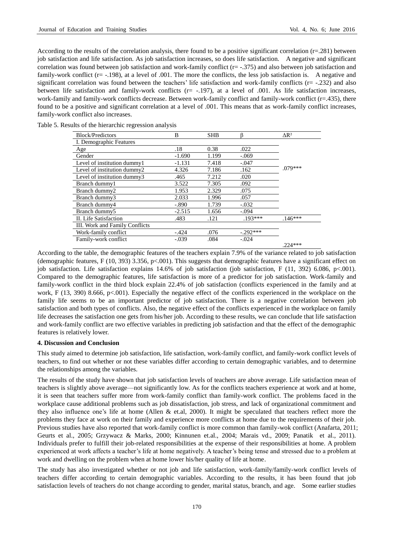According to the results of the correlation analysis, there found to be a positive significant correlation  $(r=281)$  between job satisfaction and life satisfaction. As job satisfaction increases, so does life satisfaction. A negative and significant correlation was found between job satisfaction and work-family conflict (r= -.375) and also between job satisfaction and family-work conflict (r= -.198), at a level of .001. The more the conflicts, the less job satisfaction is. A negative and significant correlation was found between the teachers' life satisfaction and work-family conflicts ( $r = -232$ ) and also between life satisfaction and family-work conflicts (r= -.197), at a level of .001. As life satisfaction increases, work-family and family-work conflicts decrease. Between work-family conflict and family-work conflict (r=.435), there found to be a positive and significant correlation at a level of .001. This means that as work-family conflict increases, family-work conflict also increases.

| <b>Block/Predictors</b>        | B        | <b>SHB</b> |            | $\Delta$ R <sup>2</sup> |
|--------------------------------|----------|------------|------------|-------------------------|
| I. Demographic Features        |          |            |            |                         |
| Age                            | .18      | 0.38       | .022       |                         |
| Gender                         | $-1.690$ | 1.199      | $-.069$    |                         |
| Level of institution dummy1    | $-1.131$ | 7.418      | $-.047$    |                         |
| Level of institution dummy2    | 4.326    | 7.186      | .162       | $.079***$               |
| Level of institution dummy3    | .465     | 7.212      | .020       |                         |
| Branch dummy1                  | 3.522    | 7.305      | .092       |                         |
| Branch dummy2                  | 1.953    | 2.329      | .075       |                         |
| Branch dummy3                  | 2.033    | 1.996      | .057       |                         |
| Branch dummy4                  | $-.890$  | 1.739      | $-.032$    |                         |
| Branch dummy5                  | $-2.515$ | 1.656      | $-.094$    |                         |
| II. Life Satisfaction          | .483     | .121       | $193***$   | $.146***$               |
| III. Work and Family Conflicts |          |            |            |                         |
| Work-family conflict           | $-.424$  | .076       | $-.292***$ |                         |
| Family-work conflict           | $-.039$  | .084       | $-.024$    |                         |
|                                |          |            |            | $.224***$               |

Table 5. Results of the hierarchic regression analysis

According to the table, the demographic features of the teachers explain 7.9% of the variance related to job satisfaction (demographic features, F (10, 393) 3.356, p<.001). This suggests that demographic features have a significant effect on job satisfaction. Life satisfaction explains 14.6% of job satisfaction (job satisfaction, F (11, 392) 6.086, p<.001). Compared to the demographic features, life satisfaction is more of a predictor for job satisfaction. Work-family and family-work conflict in the third block explain 22.4% of job satisfaction (conflicts experienced in the family and at work, F (13, 390) 8.666, p<.001). Especially the negative effect of the conflicts experienced in the workplace on the family life seems to be an important predictor of job satisfaction. There is a negative correlation between job satisfaction and both types of conflicts. Also, the negative effect of the conflicts experienced in the workplace on family life decreases the satisfaction one gets from his/her job. According to these results, we can conclude that life satisfaction and work-family conflict are two effective variables in predicting job satisfaction and that the effect of the demographic features is relatively lower.

# **4. Discussion and Conclusion**

This study aimed to determine job satisfaction, life satisfaction, work-family conflict, and family-work conflict levels of teachers, to find out whether or not these variables differ according to certain demographic variables, and to determine the relationships among the variables.

The results of the study have shown that job satisfaction levels of teachers are above average. Life satisfaction mean of teachers is slightly above average—not significantly low. As for the conflicts teachers experience at work and at home, it is seen that teachers suffer more from work-family conflict than family-work conflict. The problems faced in the workplace cause additional problems such as job dissatisfaction, job stress, and lack of organizational commitment and they also influence one's life at home (Allen & et.al, 2000). It might be speculated that teachers reflect more the problems they face at work on their family and experience more conflicts at home due to the requirements of their job. Previous studies have also reported that work-family conflict is more common than family-wok conflict (Anafarta, 2011; Geurts et al., 2005; Grzywacz & Marks, 2000; Kinnunen et.al., 2004; Marais vd., 2009; Panatik et al., 2011). Individuals prefer to fulfill their job-related responsibilities at the expense of their responsibilities at home. A problem experienced at work affects a teacher's life at home negatively. A teacher's being tense and stressed due to a problem at work and dwelling on the problem when at home lower his/her quality of life at home.

The study has also investigated whether or not job and life satisfaction, work-family/family-work conflict levels of teachers differ according to certain demographic variables. According to the results, it has been found that job satisfaction levels of teachers do not change according to gender, marital status, branch, and age. Some earlier studies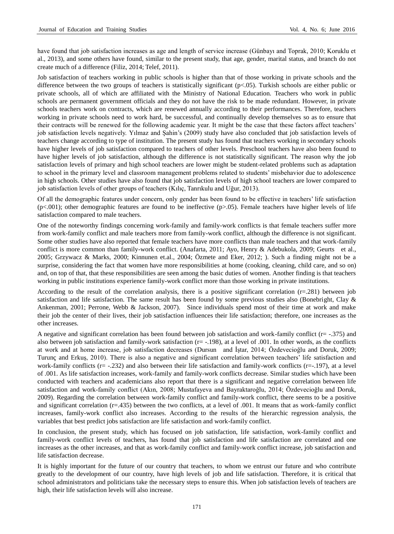have found that job satisfaction increases as age and length of service increase (Günbayı and Toprak, 2010; Koruklu et al., 2013), and some others have found, similar to the present study, that age, gender, marital status, and branch do not create much of a difference (Filiz, 2014; Telef, 2011).

Job satisfaction of teachers working in public schools is higher than that of those working in private schools and the difference between the two groups of teachers is statistically significant (p<.05). Turkish schools are either public or private schools, all of which are affiliated with the Ministry of National Education. Teachers who work in public schools are permanent government officials and they do not have the risk to be made redundant. However, in private schools teachers work on contracts, which are renewed annually according to their performances. Therefore, teachers working in private schools need to work hard, be successful, and continually develop themselves so as to ensure that their contracts will be renewed for the following academic year. It might be the case that these factors affect teachers' job satisfaction levels negatively. Yılmaz and Şahin's (2009) study have also concluded that job satisfaction levels of teachers change according to type of institution. The present study has found that teachers working in secondary schools have higher levels of job satisfaction compared to teachers of other levels. Preschool teachers have also been found to have higher levels of job satisfaction, although the difference is not statistically significant. The reason why the job satisfaction levels of primary and high school teachers are lower might be student-related problems such as adaptation to school in the primary level and classroom management problems related to students' misbehavior due to adolescence in high schools. Other studies have also found that job satisfaction levels of high school teachers are lower compared to job satisfaction levels of other groups of teachers (Kılıç, Tanrıkulu and Uğur, 2013).

Of all the demographic features under concern, only gender has been found to be effective in teachers' life satisfaction  $(p<.001)$ ; other demographic features are found to be ineffective  $(p>.05)$ . Female teachers have higher levels of life satisfaction compared to male teachers.

One of the noteworthy findings concerning work-family and family-work conflicts is that female teachers suffer more from work-family conflict and male teachers more from family-work conflict, although the difference is not significant. Some other studies have also reported that female teachers have more conflicts than male teachers and that work-family conflict is more common than family-work conflict. (Anafarta, 2011; Ayo, Henry & Adebukola, 2009; Geurts et al., 2005; Grzywacz & Marks, 2000; Kinnunen et.al., 2004; Özmete and Eker, 2012; ). Such a finding might not be a surprise, considering the fact that women have more responsibilities at home (cooking, cleaning, child care, and so on) and, on top of that, that these responsibilities are seen among the basic duties of women. Another finding is that teachers working in public institutions experience family-work conflict more than those working in private institutions.

According to the result of the correlation analysis, there is a positive significant correlation (r=.281) between job satisfaction and life satisfaction. The same result has been found by some previous studies also (Bonebright, Clay & Ankenman, 2001; Perrone, Webb & Jackson, 2007). Since individuals spend most of their time at work and make their job the center of their lives, their job satisfaction influences their life satisfaction; therefore, one increases as the other increases.

A negative and significant correlation has been found between job satisfaction and work-family conflict (r= -.375) and also between job satisfaction and family-work satisfaction  $(r = -.198)$ , at a level of .001. In other words, as the conflicts at work and at home increase, job satisfaction decreases (Dursun and İştar, 2014; Özdevecioğlu and Doruk, 2009; Turunç and Erkuş, 2010). There is also a negative and significant correlation between teachers' life satisfaction and work-family conflicts  $(r = -0.232)$  and also between their life satisfaction and family-work conflicts  $(r = 0.197)$ , at a level of .001. As life satisfaction increases, work-family and family-work conflicts decrease. Similar studies which have been conducted with teachers and academicians also report that there is a significant and negative correlation between life satisfaction and work-family conflict (Akın, 2008; Mustafayeva and Bayraktaroğlu, 2014; Özdevecioğlu and Doruk, 2009). Regarding the correlation between work-family conflict and family-work conflict, there seems to be a positive and significant correlation (r=.435) between the two conflicts, at a level of .001. It means that as work-family conflict increases, family-work conflict also increases. According to the results of the hierarchic regression analysis, the variables that best predict jobs satisfaction are life satisfaction and work-family conflict.

In conclusion, the present study, which has focused on job satisfaction, life satisfaction, work-family conflict and family-work conflict levels of teachers, has found that job satisfaction and life satisfaction are correlated and one increases as the other increases, and that as work-family conflict and family-work conflict increase, job satisfaction and life satisfaction decrease.

It is highly important for the future of our country that teachers, to whom we entrust our future and who contribute greatly to the development of our country, have high levels of job and life satisfaction. Therefore, it is critical that school administrators and politicians take the necessary steps to ensure this. When job satisfaction levels of teachers are high, their life satisfaction levels will also increase.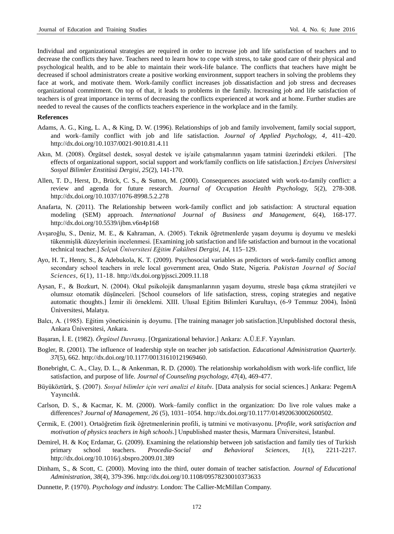Individual and organizational strategies are required in order to increase job and life satisfaction of teachers and to decrease the conflicts they have. Teachers need to learn how to cope with stress, to take good care of their physical and psychological health, and to be able to maintain their work-life balance. The conflicts that teachers have might be decreased if school administrators create a positive working environment, support teachers in solving the problems they face at work, and motivate them. Work-family conflict increases job dissatisfaction and job stress and decreases organizational commitment. On top of that, it leads to problems in the family. Increasing job and life satisfaction of teachers is of great importance in terms of decreasing the conflicts experienced at work and at home. Further studies are needed to reveal the causes of the conflicts teachers experience in the workplace and in the family.

#### **References**

- Adams, A. G., King, L. A., & King, D. W. (1996). Relationships of job and family involvement, family social support, and work–family conflict with job and life satisfaction. *Journal of Applied Psychology, 4*, 411–420. http://dx.doi.org/10.1037/0021-9010.81.4.11
- Akın, M. (2008). Örgütsel destek, sosyal destek ve iş/aile çatışmalarının yaşam tatmini üzerindeki etkileri. [The effects of organizational support, social support and work/family conflicts on life satisfaction.] *Erciyes Üniversitesi Sosyal Bilimler Enstitüsü Dergisi, 25*(2), 141-170.
- Allen, T. D., Herst, D., Brück, C. S., & Sutton, M. (2000). Consequences associated with work-to-family conflict: a review and agenda for future research. *Journal of Occupation Health Psychology, 5*(2), 278-308. http://dx.doi.org/10.1037/1076-8998.5.2.278
- Anafarta, N. (2011). The Relationship between work-family conflict and job satisfaction: A structural equation modeling (SEM) approach. *International Journal of Business and Management, 6*(4), 168-177. http://dx.doi.org/10.5539/ijbm.v6n4p168
- Avşaroğlu, S., Deniz, M. E., & Kahraman, A. (2005). Teknik öğretmenlerde yaşam doyumu iş doyumu ve mesleki tükenmişlik düzeylerinin incelenmesi. [Examining job satisfaction and life satisfaction and burnout in the vocational technical teacher.] *Selçuk Üniversitesi Eğitim Fakültesi Dergisi, 14*, 115–129.
- Ayo, H. T., Henry, S., & Adebukola, K. T. (2009). Psychosocial variables as predictors of work-family conflict among secondary school teachers in ırele local government area, Ondo State, Nigeria. *Pakistan Journal of Social Sciences, 6*(1), 11-18. http://dx.doi.org/pjssci.2009.11.18
- Aysan, F., & Bozkurt, N. (2004). Okul psikolojik danışmanlarının yaşam doyumu, stresle başa çıkma stratejileri ve olumsuz otomatik düşünceleri. [School counselors of life satisfaction, stress, coping strategies and negative automatic thoughts.] İzmir ili örneklemi. XIII. Ulusal Eğitim Bilimleri Kurultayı, (6-9 Temmuz 2004), İnönü Üniversitesi, Malatya.
- Balcı, A. (1985). Eğitim yöneticisinin iş doyumu. [The training manager job satisfaction.]Unpublished doctoral thesis, Ankara Üniversitesi, Ankara.
- Başaran, İ. E. (1982). *Örgütsel Davranış*. [Organizational behavior.] Ankara: A.Ü.E.F. Yayınları.
- Bogler, R. (2001). The influence of leadership style on teacher job satisfaction. *Educational Administration Quarterly. 37*(5), 662. http://dx.doi.org/10.1177/00131610121969460.
- Bonebright, C. A., Clay, D. L., & Ankenman, R. D. (2000). The relationship workaholdism with work-life conflict, life satisfaction, and purpose of life. *Journal of Counseling psychology, 47*(4), 469-477.
- Büyüköztürk, Ş. (2007). *Sosyal bilimler için veri analizi el kitabı*. [Data analysis for social sciences.] Ankara: PegemA Yayıncılık.
- Carlson, D. S., & Kacmar, K. M. (2000). Work–family conflict in the organization: Do live role values make a differences? *Journal of Management, 26* (5), 1031–1054. http://dx.doi.org/10.1177/014920630002600502.
- Çermik, E. (2001). Ortaöğretim fizik öğretmenlerinin profili, iş tatmini ve motivasyonu. [*Profile, work satisfaction and motivation of physics teachers in high schools*.] Unpublished master thesis, Marmara Üniversitesi, İstanbul.
- Demirel, H. & Koç Erdamar, G. (2009). Examining the relationship between job satisfaction and family ties of Turkish primary school teachers. *Procedia-Social and Behavioral Sciences, 1*(1), 2211-2217. http://dx.doi.org/10.1016/j.sbspro.2009.01.389
- Dinham, S., & Scott, C. (2000). Moving into the third, outer domain of teacher satisfaction. *Journal of Educational Administration, 38*(4), 379-396. http://dx.doi.org/10.1108/09578230010373633
- Dunnette, P. (1970). *Psychology and industry.* London: The Callier-McMillan Company.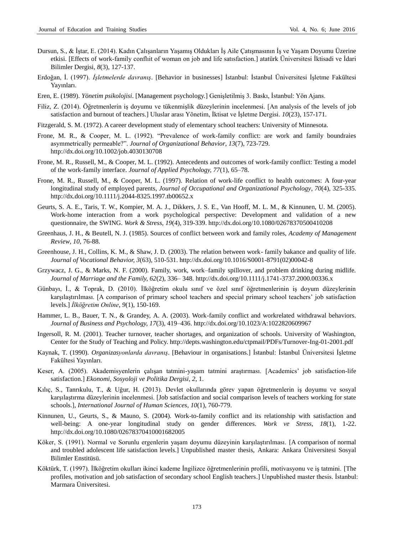- Dursun, S., & İştar, E. (2014). Kadın Çalışanların Yaşamış Oldukları İş Aile Çatışmasının İş ve Yaşam Doyumu Üzerine etkisi. [Effects of work-family conflıit of woman on job and life satısfaction.] atatürk Üniversitesi İktisadi ve İdari Bilimler Dergisi, *8*(3), 127-137.
- Erdoğan, İ. (1997). *İşletmelerde davranış*. [Behavior in businesses] İstanbul: İstanbul Üniversitesi İşletme Fakültesi Yayınları.
- Eren, E. (1989). *Yönetim psikolojisi*. [Management psychology.] Genişletilmiş 3. Baskı, İstanbul: Yön Ajans.
- Filiz, Z. (2014). Öğretmenlerin iş doyumu ve tükenmişlik düzeylerinin incelenmesi. [An analysis of the levels of job satisfaction and burnout of teachers.] Uluslar arası Yönetim, İktisat ve İşletme Dergisi. *10*(23), 157-171.
- Fitzgerald, S. M. (1972). A career development study of elementary school teachers: University of Minnesota.
- Frone, M. R., & Cooper, M. L. (1992). "Prevalence of work-family conflict: are work and family boundraies asymmetrically permeable?". *Journal of Organizational Behavior, 13*(7), 723-729. http://dx.doi.org/10.1002/job.4030130708
- Frone, M. R., Russell, M., & Cooper, M. L. (1992). Antecedents and outcomes of work-family conflict: Testing a model of the work-family interface. *Journal of Applied Psychology, 77*(1), 65–78.
- Frone, M. R., Russell, M., & Cooper, M. L. (1997). Relation of work-life conflict to health outcomes: A four-year longitudinal study of employed parents, *Journal of Occupational and Organizational Psychology, 70*(4), 325-335. http://dx.doi.org/10.1111/j.2044-8325.1997.tb00652.x
- Geurts, S. A. E., Taris, T. W., Kompier, M. A. J., Dikkers, J. S. E., Van Hooff, M. L. M., & Kinnunen, U. M. (2005). Work-home interaction from a work psychological perspective: Development and validation of a new questionnaire, the SWING. *Work & Stress, 19*(4), 319-339. http://dx.doi.org/10.1080/02678370500410208
- Greenhaus, J. H., & Beutell, N. J. (1985). Sources of conflict between work and family roles, *Academy of Management Review, 10*, 76-88.
- Greenhouse, J. H., Collins, K. M., & Shaw, J. D. (2003). The relation between work- family bakance and quality of life. *Journal of Vocational Behavior, 3*(63), 510-531. http://dx.doi.org/10.1016/S0001-8791(02)00042-8
- Grzywacz, J. G., & Marks, N. F. (2000). Family, work, work–family spillover, and problem drinking during midlife. *Journal of Marriage and the Family, 62*(2), 336– 348. http://dx.doi.org/10.1111/j.1741-3737.2000.00336.x
- Günbayı, İ., & Toprak, D. (2010). İlköğretim okulu sınıf ve özel sınıf öğretmenlerinin iş doyum düzeylerinin karşılaştırılması. [A comparison of primary school teachers and special primary school teachers' job satisfaction levels.] *İlköğretim Online*, *9*(1), 150-169.
- Hammer, L. B., Bauer, T. N., & Grandey, A. A. (2003). Work-family conflict and workrelated withdrawal behaviors. *Journal of Business and Psychology, 17*(3), 419–436. http://dx.doi.org/10.1023/A:1022820609967
- Ingersoll, R. M. (2001). Teacher turnover, teacher shortages, and organization of schools. University of Washington, Center for the Study of Teaching and Policy. http://depts.washington.edu/ctpmail/PDFs/Turnover-Ing-01-2001.pdf
- Kaynak, T. (1990). *Organizasyonlarda davranış*. [Behaviour in organisations.] İstanbul: İstanbul Üniversitesi İşletme Fakültesi Yayınları.
- Keser, A. (2005). Akademisyenlerin çalışan tatmini-yaşam tatmini araştırması. [Academics' job satisfaction-life satisfaction.] *Ekonomi, Sosyoloji ve Politika Dergisi, 2*, 1.
- Kılıç, S., Tanrıkulu, T., & Uğur, H. (2013). Devlet okullarında görev yapan öğretmenlerin iş doyumu ve sosyal karşılaştırma düzeylerinin incelenmesi. [Job satisfaction and social comparison levels of teachers working for state schools.], *International Journal of Human Sciences, 10*(1), 760-779.
- Kinnunen, U., Geurts, S., & Mauno, S. (2004). Work-to-family conflict and its relationship with satisfaction and well-being: A one-year longitudinal study on gender differences. *Work ve Stress*, *18*(1), 1-22. http://dx.doi.org/10.1080/02678370410001682005
- Köker, S. (1991). Normal ve Sorunlu ergenlerin yaşam doyumu düzeyinin karşılaştırılması. [A comparison of normal and troubled adolescent life satisfaction levels.] Unpublished master thesis, Ankara: Ankara Üniversitesi Sosyal Bilimler Enstitüsü.
- Köktürk, T. (1997). İlköğretim okulları ikinci kademe İngilizce öğretmenlerinin profili, motivasyonu ve iş tatmini. [The profiles, motivation and job satisfaction of secondary school English teachers.] Unpublished master thesis. İstanbul: Marmara Üniversitesi.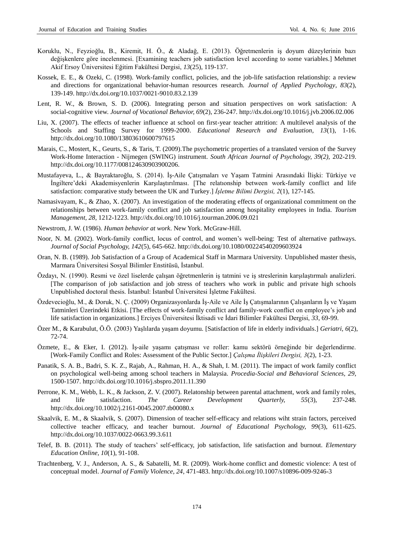- Koruklu, N., Feyzioğlu, B., Kiremit, H. Ö., & Aladağ, E. (2013). Öğretmenlerin iş doyum düzeylerinin bazı değişkenlere göre incelenmesi. [Examining teachers job satisfaction level according to some variables.] Mehmet Akif Ersoy Üniversitesi Eğitim Fakültesi Dergisi, *13*(25), 119-137.
- Kossek, E. E., & Ozeki, C. (1998). Work-family conflict, policies, and the job-life satisfaction relationship: a review and directions for organizational behavior-human resources research. *Journal of Applied Psychology, 83*(2), 139-149. http://dx.doi.org/10.1037/0021-9010.83.2.139
- Lent, R. W., & Brown, S. D. (2006). Integrating person and situation perspectives on work satisfaction: A social-cognitive view. *Journal of Vocational Behavior, 69*(2), 236-247. http://dx.doi.org/10.1016/j.jvb.2006.02.006
- Liu, X. (2007). The effects of teacher influence at school on first-year teacher attrition: A multilevel analysis of the Schools and Staffing Survey for 1999-2000. *Educational Research and Evaluation, 13*(1), 1-16. http://dx.doi.org/10.1080/13803610600797615
- Marais, C., Mostert, K., Geurts, S., & Taris, T. (2009).The psychometric properties of a translated version of the Survey Work-Home Interaction - Nijmegen (SWING) instrument. *South African Journal of Psychology, 39(2),* 202-219. http://dx.doi.org/10.1177/008124630903900206.
- Mustafayeva, L., & Bayraktaroğlu, S. (2014). İş-Aile Çatışmaları ve Yaşam Tatmini Arasındaki İlişki: Türkiye ve İngiltere'deki Akademisyenlerin Karşılaştırılması. [The relatıonship between work-family conflict and life satisfaction: comparative study between the UK and Turkey.] *İşletme Bilimi Dergisi, 2*(1), 127-145.
- Namasivayam, K., & Zhao, X. (2007). An investigation of the moderating effects of organizational commitment on the relationships between work-family conflict and job satisfaction among hospitality employees in India. *Tourism Management, 28*, 1212-1223. http://dx.doi.org/10.1016/j.tourman.2006.09.021
- Newstrom, J. W. (1986). *Human behavior at work*. New York. McGraw-Hill.
- Noor, N. M. (2002). Work-family conflict, locus of control, and women's well-being: Test of alternative pathways. *Journal of Social Psychology, 142*(5), 645-662. http://dx.doi.org/10.1080/00224540209603924
- Oran, N. B. (1989). Job Satisfaction of a Group of Academical Staff in Marmara University. Unpublished master thesis, Marmara Üniversitesi Sosyal Bilimler Enstitüsü, İstanbul.
- Özdayı, N. (1990). Resmi ve özel liselerde çalışan öğretmenlerin iş tatmini ve iş streslerinin karşılaştırmalı analizleri. [The comparison of job satisfaction and job stress of teachers who work in public and private high schools Unpublished doctoral thesis. İstanbul: İstanbul Üniversitesi İşletme Fakültesi.
- Özdevecioğlu, M., & Doruk, N. Ç. (2009) Organizasyonlarda İş-Aile ve Aile İş Çatışmalarının Çalışanların İş ve Yaşam Tatminleri Üzerindeki Etkisi. [The effects of work-family conflict and family-work conflict on employee's job and life satisfaction in organizations.] Erciyes Üniversitesi İktisadi ve İdari Bilimler Fakültesi Dergisi, *33*, 69-99.
- Özer M., & Karabulut, Ö.Ö. (2003) Yaşlılarda yaşam doyumu*.* [Satisfaction of life in elderly individuals.] *Geriatri, 6*(2), 72-74.
- Özmete, E., & Eker, I. (2012). İş-aile yaşamı çatışması ve roller: kamu sektörü örneğinde bir değerlendirme. [Work-Family Conflict and Roles: Assessment of the Public Sector.] *Çalışma İlişkileri Dergisi, 3*(2), 1-23.
- Panatik, S. A. B., Badri, S. K. Z., Rajab, A., Rahman, H. A., & Shah, I. M. (2011). The impact of work family conflict on psychological well-being among school teachers in Malaysia. *Procedia-Social and Behavioral Sciences, 29*, 1500-1507. http://dx.doi.org/10.1016/j.sbspro.2011.11.390
- Perrone, K. M., Webb, L. K., & Jackson, Z. V. (2007). Relatonship between parental attachment, work and family roles, and life satisfaction. *The Career Development Quarterly, 55*(3), 237-248. http://dx.doi.org/10.1002/j.2161-0045.2007.tb00080.x
- Skaalvik, E. M., & Skaalvik, S. (2007). Dimension of teacher self-efficacy and relations wiht strain factors, perceived collective teacher efficacy, and teacher burnout*. Journal of Educational Psychology, 99*(3), 611-625. http://dx.doi.org/10.1037/0022-0663.99.3.611
- Telef, B. B. (2011). The study of teachers' self-efficacy, job satisfaction, life satisfaction and burnout. *Elementary Education Online, 10*(1), 91-108.
- Trachtenberg, V. J., Anderson, A. S., & Sabatelli, M. R. (2009). Work-home conflict and domestic violence: A test of conceptual model. *Journal of Family Violence, 24*, 471-483. http://dx.doi.org/10.1007/s10896-009-9246-3